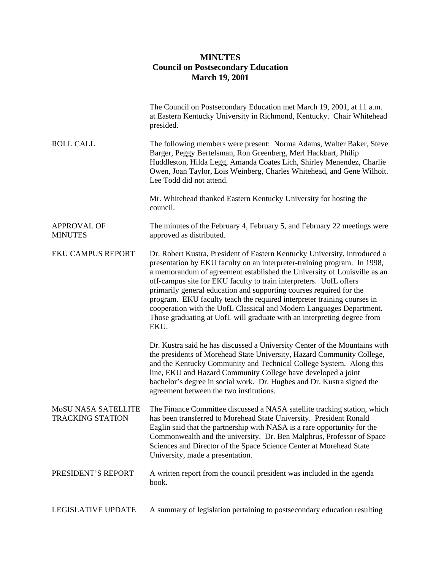## **MINUTES Council on Postsecondary Education March 19, 2001**

|                                                       | The Council on Postsecondary Education met March 19, 2001, at 11 a.m.<br>at Eastern Kentucky University in Richmond, Kentucky. Chair Whitehead<br>presided.                                                                                                                                                                                                                                                                                                                                                                                                                                                          |
|-------------------------------------------------------|----------------------------------------------------------------------------------------------------------------------------------------------------------------------------------------------------------------------------------------------------------------------------------------------------------------------------------------------------------------------------------------------------------------------------------------------------------------------------------------------------------------------------------------------------------------------------------------------------------------------|
| <b>ROLL CALL</b>                                      | The following members were present: Norma Adams, Walter Baker, Steve<br>Barger, Peggy Bertelsman, Ron Greenberg, Merl Hackbart, Philip<br>Huddleston, Hilda Legg, Amanda Coates Lich, Shirley Menendez, Charlie<br>Owen, Joan Taylor, Lois Weinberg, Charles Whitehead, and Gene Wilhoit.<br>Lee Todd did not attend.                                                                                                                                                                                                                                                                                                |
|                                                       | Mr. Whitehead thanked Eastern Kentucky University for hosting the<br>council.                                                                                                                                                                                                                                                                                                                                                                                                                                                                                                                                        |
| <b>APPROVAL OF</b><br><b>MINUTES</b>                  | The minutes of the February 4, February 5, and February 22 meetings were<br>approved as distributed.                                                                                                                                                                                                                                                                                                                                                                                                                                                                                                                 |
| <b>EKU CAMPUS REPORT</b>                              | Dr. Robert Kustra, President of Eastern Kentucky University, introduced a<br>presentation by EKU faculty on an interpreter-training program. In 1998,<br>a memorandum of agreement established the University of Louisville as an<br>off-campus site for EKU faculty to train interpreters. UofL offers<br>primarily general education and supporting courses required for the<br>program. EKU faculty teach the required interpreter training courses in<br>cooperation with the UofL Classical and Modern Languages Department.<br>Those graduating at UofL will graduate with an interpreting degree from<br>EKU. |
|                                                       | Dr. Kustra said he has discussed a University Center of the Mountains with<br>the presidents of Morehead State University, Hazard Community College,<br>and the Kentucky Community and Technical College System. Along this<br>line, EKU and Hazard Community College have developed a joint<br>bachelor's degree in social work. Dr. Hughes and Dr. Kustra signed the<br>agreement between the two institutions.                                                                                                                                                                                                    |
| <b>MOSU NASA SATELLITE</b><br><b>TRACKING STATION</b> | The Finance Committee discussed a NASA satellite tracking station, which<br>has been transferred to Morehead State University. President Ronald<br>Eaglin said that the partnership with NASA is a rare opportunity for the<br>Commonwealth and the university. Dr. Ben Malphrus, Professor of Space<br>Sciences and Director of the Space Science Center at Morehead State<br>University, made a presentation.                                                                                                                                                                                                      |
| PRESIDENT'S REPORT                                    | A written report from the council president was included in the agenda<br>book.                                                                                                                                                                                                                                                                                                                                                                                                                                                                                                                                      |
| LEGISLATIVE UPDATE                                    | A summary of legislation pertaining to postsecondary education resulting                                                                                                                                                                                                                                                                                                                                                                                                                                                                                                                                             |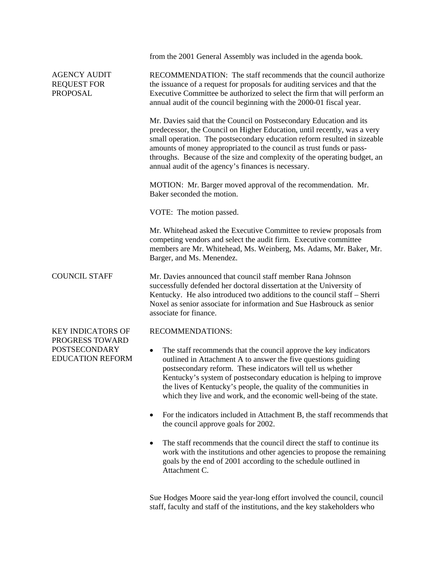|                                                                    | from the 2001 General Assembly was included in the agenda book.                                                                                                                                                                                                                                                                                                                                                                        |
|--------------------------------------------------------------------|----------------------------------------------------------------------------------------------------------------------------------------------------------------------------------------------------------------------------------------------------------------------------------------------------------------------------------------------------------------------------------------------------------------------------------------|
| <b>AGENCY AUDIT</b><br><b>REQUEST FOR</b><br><b>PROPOSAL</b>       | RECOMMENDATION: The staff recommends that the council authorize<br>the issuance of a request for proposals for auditing services and that the<br>Executive Committee be authorized to select the firm that will perform an<br>annual audit of the council beginning with the 2000-01 fiscal year.                                                                                                                                      |
|                                                                    | Mr. Davies said that the Council on Postsecondary Education and its<br>predecessor, the Council on Higher Education, until recently, was a very<br>small operation. The postsecondary education reform resulted in sizeable<br>amounts of money appropriated to the council as trust funds or pass-<br>throughs. Because of the size and complexity of the operating budget, an<br>annual audit of the agency's finances is necessary. |
|                                                                    | MOTION: Mr. Barger moved approval of the recommendation. Mr.<br>Baker seconded the motion.                                                                                                                                                                                                                                                                                                                                             |
|                                                                    | VOTE: The motion passed.                                                                                                                                                                                                                                                                                                                                                                                                               |
|                                                                    | Mr. Whitehead asked the Executive Committee to review proposals from<br>competing vendors and select the audit firm. Executive committee<br>members are Mr. Whitehead, Ms. Weinberg, Ms. Adams, Mr. Baker, Mr.<br>Barger, and Ms. Menendez.                                                                                                                                                                                            |
| <b>COUNCIL STAFF</b>                                               | Mr. Davies announced that council staff member Rana Johnson<br>successfully defended her doctoral dissertation at the University of<br>Kentucky. He also introduced two additions to the council staff – Sherri<br>Noxel as senior associate for information and Sue Hasbrouck as senior<br>associate for finance.                                                                                                                     |
| <b>KEY INDICATORS OF</b>                                           | <b>RECOMMENDATIONS:</b>                                                                                                                                                                                                                                                                                                                                                                                                                |
| PROGRESS TOWARD<br><b>POSTSECONDARY</b><br><b>EDUCATION REFORM</b> | The staff recommends that the council approve the key indicators<br>$\bullet$<br>outlined in Attachment A to answer the five questions guiding<br>postsecondary reform. These indicators will tell us whether<br>Kentucky's system of postsecondary education is helping to improve<br>the lives of Kentucky's people, the quality of the communities in<br>which they live and work, and the economic well-being of the state.        |
|                                                                    | For the indicators included in Attachment B, the staff recommends that<br>the council approve goals for 2002.                                                                                                                                                                                                                                                                                                                          |
|                                                                    | The staff recommends that the council direct the staff to continue its<br>work with the institutions and other agencies to propose the remaining<br>goals by the end of 2001 according to the schedule outlined in<br>Attachment C.                                                                                                                                                                                                    |

Sue Hodges Moore said the year-long effort involved the council, council staff, faculty and staff of the institutions, and the key stakeholders who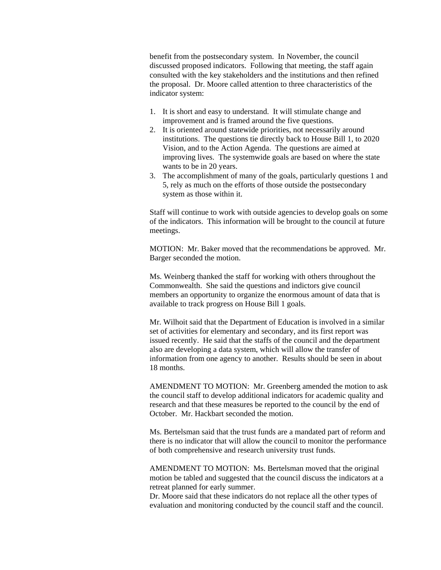benefit from the postsecondary system. In November, the council discussed proposed indicators. Following that meeting, the staff again consulted with the key stakeholders and the institutions and then refined the proposal. Dr. Moore called attention to three characteristics of the indicator system:

- 1. It is short and easy to understand. It will stimulate change and improvement and is framed around the five questions.
- 2. It is oriented around statewide priorities, not necessarily around institutions. The questions tie directly back to House Bill 1, to 2020 Vision, and to the Action Agenda. The questions are aimed at improving lives. The systemwide goals are based on where the state wants to be in 20 years.
- 3. The accomplishment of many of the goals, particularly questions 1 and 5, rely as much on the efforts of those outside the postsecondary system as those within it.

Staff will continue to work with outside agencies to develop goals on some of the indicators. This information will be brought to the council at future meetings.

MOTION: Mr. Baker moved that the recommendations be approved. Mr. Barger seconded the motion.

Ms. Weinberg thanked the staff for working with others throughout the Commonwealth. She said the questions and indictors give council members an opportunity to organize the enormous amount of data that is available to track progress on House Bill 1 goals.

Mr. Wilhoit said that the Department of Education is involved in a similar set of activities for elementary and secondary, and its first report was issued recently. He said that the staffs of the council and the department also are developing a data system, which will allow the transfer of information from one agency to another. Results should be seen in about 18 months.

AMENDMENT TO MOTION: Mr. Greenberg amended the motion to ask the council staff to develop additional indicators for academic quality and research and that these measures be reported to the council by the end of October. Mr. Hackbart seconded the motion.

Ms. Bertelsman said that the trust funds are a mandated part of reform and there is no indicator that will allow the council to monitor the performance of both comprehensive and research university trust funds.

AMENDMENT TO MOTION: Ms. Bertelsman moved that the original motion be tabled and suggested that the council discuss the indicators at a retreat planned for early summer.

Dr. Moore said that these indicators do not replace all the other types of evaluation and monitoring conducted by the council staff and the council.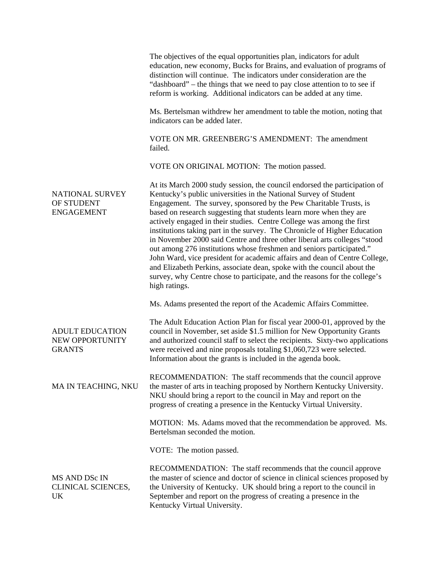|                                                            | The objectives of the equal opportunities plan, indicators for adult<br>education, new economy, Bucks for Brains, and evaluation of programs of<br>distinction will continue. The indicators under consideration are the<br>"dashboard" – the things that we need to pay close attention to to see if<br>reform is working. Additional indicators can be added at any time.                                                                                                                                                                                                                                                                                                                                                                                                                                                                                    |
|------------------------------------------------------------|----------------------------------------------------------------------------------------------------------------------------------------------------------------------------------------------------------------------------------------------------------------------------------------------------------------------------------------------------------------------------------------------------------------------------------------------------------------------------------------------------------------------------------------------------------------------------------------------------------------------------------------------------------------------------------------------------------------------------------------------------------------------------------------------------------------------------------------------------------------|
|                                                            | Ms. Bertelsman withdrew her amendment to table the motion, noting that<br>indicators can be added later.                                                                                                                                                                                                                                                                                                                                                                                                                                                                                                                                                                                                                                                                                                                                                       |
|                                                            | VOTE ON MR. GREENBERG'S AMENDMENT: The amendment<br>failed.                                                                                                                                                                                                                                                                                                                                                                                                                                                                                                                                                                                                                                                                                                                                                                                                    |
|                                                            | VOTE ON ORIGINAL MOTION: The motion passed.                                                                                                                                                                                                                                                                                                                                                                                                                                                                                                                                                                                                                                                                                                                                                                                                                    |
| <b>NATIONAL SURVEY</b><br>OF STUDENT<br><b>ENGAGEMENT</b>  | At its March 2000 study session, the council endorsed the participation of<br>Kentucky's public universities in the National Survey of Student<br>Engagement. The survey, sponsored by the Pew Charitable Trusts, is<br>based on research suggesting that students learn more when they are<br>actively engaged in their studies. Centre College was among the first<br>institutions taking part in the survey. The Chronicle of Higher Education<br>in November 2000 said Centre and three other liberal arts colleges "stood<br>out among 276 institutions whose freshmen and seniors participated."<br>John Ward, vice president for academic affairs and dean of Centre College,<br>and Elizabeth Perkins, associate dean, spoke with the council about the<br>survey, why Centre chose to participate, and the reasons for the college's<br>high ratings. |
|                                                            | Ms. Adams presented the report of the Academic Affairs Committee.                                                                                                                                                                                                                                                                                                                                                                                                                                                                                                                                                                                                                                                                                                                                                                                              |
| <b>ADULT EDUCATION</b><br>NEW OPPORTUNITY<br><b>GRANTS</b> | The Adult Education Action Plan for fiscal year 2000-01, approved by the<br>council in November, set aside \$1.5 million for New Opportunity Grants<br>and authorized council staff to select the recipients. Sixty-two applications<br>were received and nine proposals totaling \$1,060,723 were selected.<br>Information about the grants is included in the agenda book.                                                                                                                                                                                                                                                                                                                                                                                                                                                                                   |
| MA IN TEACHING, NKU                                        | RECOMMENDATION: The staff recommends that the council approve<br>the master of arts in teaching proposed by Northern Kentucky University.<br>NKU should bring a report to the council in May and report on the<br>progress of creating a presence in the Kentucky Virtual University.                                                                                                                                                                                                                                                                                                                                                                                                                                                                                                                                                                          |
|                                                            | MOTION: Ms. Adams moved that the recommendation be approved. Ms.<br>Bertelsman seconded the motion.                                                                                                                                                                                                                                                                                                                                                                                                                                                                                                                                                                                                                                                                                                                                                            |
|                                                            | VOTE: The motion passed.                                                                                                                                                                                                                                                                                                                                                                                                                                                                                                                                                                                                                                                                                                                                                                                                                                       |
| MS AND DSc IN<br>CLINICAL SCIENCES,<br>UK                  | RECOMMENDATION: The staff recommends that the council approve<br>the master of science and doctor of science in clinical sciences proposed by<br>the University of Kentucky. UK should bring a report to the council in<br>September and report on the progress of creating a presence in the<br>Kentucky Virtual University.                                                                                                                                                                                                                                                                                                                                                                                                                                                                                                                                  |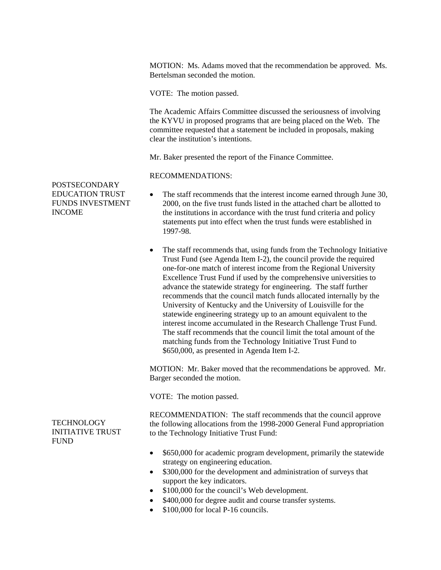MOTION: Ms. Adams moved that the recommendation be approved. Ms. Bertelsman seconded the motion.

VOTE: The motion passed.

The Academic Affairs Committee discussed the seriousness of involving the KYVU in proposed programs that are being placed on the Web. The committee requested that a statement be included in proposals, making clear the institution's intentions.

Mr. Baker presented the report of the Finance Committee.

## RECOMMENDATIONS:

- The staff recommends that the interest income earned through June 30, 2000, on the five trust funds listed in the attached chart be allotted to the institutions in accordance with the trust fund criteria and policy statements put into effect when the trust funds were established in 1997-98.
- The staff recommends that, using funds from the Technology Initiative Trust Fund (see Agenda Item I-2), the council provide the required one-for-one match of interest income from the Regional University Excellence Trust Fund if used by the comprehensive universities to advance the statewide strategy for engineering. The staff further recommends that the council match funds allocated internally by the University of Kentucky and the University of Louisville for the statewide engineering strategy up to an amount equivalent to the interest income accumulated in the Research Challenge Trust Fund. The staff recommends that the council limit the total amount of the matching funds from the Technology Initiative Trust Fund to \$650,000, as presented in Agenda Item I-2.

MOTION: Mr. Baker moved that the recommendations be approved. Mr. Barger seconded the motion.

VOTE: The motion passed.

RECOMMENDATION: The staff recommends that the council approve the following allocations from the 1998-2000 General Fund appropriation to the Technology Initiative Trust Fund:

- \$650,000 for academic program development, primarily the statewide strategy on engineering education.
- \$300,000 for the development and administration of surveys that support the key indicators.
- \$100,000 for the council's Web development.
- \$400,000 for degree audit and course transfer systems.
- \$100,000 for local P-16 councils.

POSTSECONDARY EDUCATION TRUST FUNDS INVESTMENT INCOME

**TECHNOLOGY** INITIATIVE TRUST **FUND**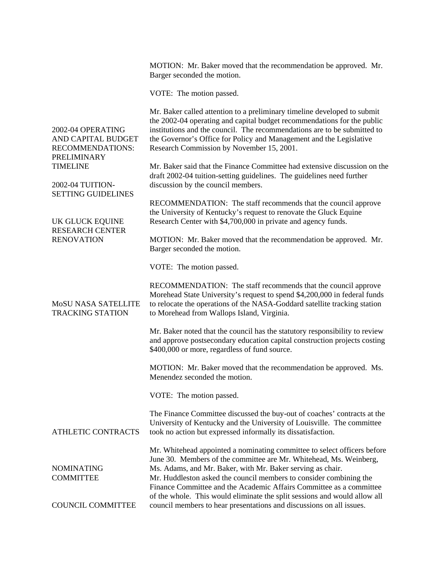|                                                                            | MOTION: Mr. Baker moved that the recommendation be approved. Mr.<br>Barger seconded the motion.                                                                                                                                                                                                                                                           |
|----------------------------------------------------------------------------|-----------------------------------------------------------------------------------------------------------------------------------------------------------------------------------------------------------------------------------------------------------------------------------------------------------------------------------------------------------|
|                                                                            | VOTE: The motion passed.                                                                                                                                                                                                                                                                                                                                  |
| 2002-04 OPERATING<br>AND CAPITAL BUDGET<br>RECOMMENDATIONS:<br>PRELIMINARY | Mr. Baker called attention to a preliminary timeline developed to submit<br>the 2002-04 operating and capital budget recommendations for the public<br>institutions and the council. The recommendations are to be submitted to<br>the Governor's Office for Policy and Management and the Legislative<br>Research Commission by November 15, 2001.       |
| <b>TIMELINE</b>                                                            | Mr. Baker said that the Finance Committee had extensive discussion on the<br>draft 2002-04 tuition-setting guidelines. The guidelines need further                                                                                                                                                                                                        |
| 2002-04 TUITION-<br><b>SETTING GUIDELINES</b>                              | discussion by the council members.                                                                                                                                                                                                                                                                                                                        |
| <b>UK GLUCK EQUINE</b>                                                     | RECOMMENDATION: The staff recommends that the council approve<br>the University of Kentucky's request to renovate the Gluck Equine<br>Research Center with \$4,700,000 in private and agency funds.                                                                                                                                                       |
| <b>RESEARCH CENTER</b><br><b>RENOVATION</b>                                | MOTION: Mr. Baker moved that the recommendation be approved. Mr.<br>Barger seconded the motion.                                                                                                                                                                                                                                                           |
|                                                                            | VOTE: The motion passed.                                                                                                                                                                                                                                                                                                                                  |
| <b>MOSU NASA SATELLITE</b><br><b>TRACKING STATION</b>                      | RECOMMENDATION: The staff recommends that the council approve<br>Morehead State University's request to spend \$4,200,000 in federal funds<br>to relocate the operations of the NASA-Goddard satellite tracking station<br>to Morehead from Wallops Island, Virginia.                                                                                     |
|                                                                            | Mr. Baker noted that the council has the statutory responsibility to review<br>and approve postsecondary education capital construction projects costing<br>\$400,000 or more, regardless of fund source.                                                                                                                                                 |
|                                                                            | MOTION: Mr. Baker moved that the recommendation be approved. Ms.<br>Menendez seconded the motion.                                                                                                                                                                                                                                                         |
|                                                                            | VOTE: The motion passed.                                                                                                                                                                                                                                                                                                                                  |
| <b>ATHLETIC CONTRACTS</b>                                                  | The Finance Committee discussed the buy-out of coaches' contracts at the<br>University of Kentucky and the University of Louisville. The committee<br>took no action but expressed informally its dissatisfaction.                                                                                                                                        |
| <b>NOMINATING</b><br><b>COMMITTEE</b>                                      | Mr. Whitehead appointed a nominating committee to select officers before<br>June 30. Members of the committee are Mr. Whitehead, Ms. Weinberg,<br>Ms. Adams, and Mr. Baker, with Mr. Baker serving as chair.<br>Mr. Huddleston asked the council members to consider combining the<br>Finance Committee and the Academic Affairs Committee as a committee |
| <b>COUNCIL COMMITTEE</b>                                                   | of the whole. This would eliminate the split sessions and would allow all<br>council members to hear presentations and discussions on all issues.                                                                                                                                                                                                         |